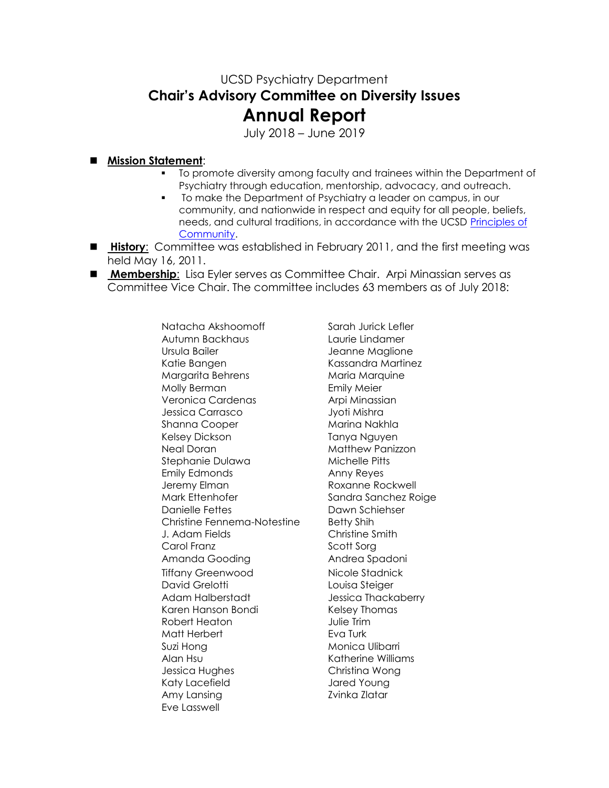## UCSD Psychiatry Department **Chair's Advisory Committee on Diversity Issues Annual Report**

July 2018 – June 2019

## **Mission Statement**:

- To promote diversity among faculty and trainees within the Department of Psychiatry through education, mentorship, advocacy, and outreach.
- To make the Department of Psychiatry a leader on campus, in our community, and nationwide in respect and equity for all people, beliefs, needs, and cultural traditions, in accordance with the UCSD [Principles of](http://www-vcba.ucsd.edu/principles.htm)  [Community.](http://www-vcba.ucsd.edu/principles.htm)
- **History**: Committee was established in February 2011, and the first meeting was held May 16, 2011.
- **Membership**: Lisa Eyler serves as Committee Chair. Arpi Minassian serves as Committee Vice Chair. The committee includes 63 members as of July 2018:

Natacha Akshoomoff Sarah Jurick Lefler Autumn Backhaus Laurie Lindamer Ursula Bailer **Jeanne Maglione** Katie Bangen Kassandra Martinez Margarita Behrens Maria Marquine Molly Berman **Emily Meier** Veronica Cardenas **Arpi Minassian** Jessica Carrasco Jyoti Mishra Shanna Cooper Marina Nakhla Kelsey Dickson Tanya Nguyen Neal Doran Matthew Panizzon Stephanie Dulawa Michelle Pitts Emily Edmonds Anny Reyes Jeremy Elman **Roxanne Rockwell** Mark Ettenhofer Sandra Sanchez Roige Danielle Fettes Dawn Schiehser Christine Fennema-Notestine Betty Shih J. Adam Fields Christine Smith Carol Franz Scott Sorg Amanda Gooding **Andrea Spadoni** Tiffany Greenwood Nicole Stadnick David Grelotti **Louisa Steiger** Adam Halberstadt **Jessica Thackaberry** Karen Hanson Bondi Kelsey Thomas Robert Heaton **Julie Trim** Matt Herbert **Eva Turk** Suzi Hong **Monica Ulibarri** Alan Hsu **Katherine Williams** Jessica Hughes Christina Wong Katy Lacefield **Jared Young** Amy Lansing The Team of The Zvinka Zlatar Eve Lasswell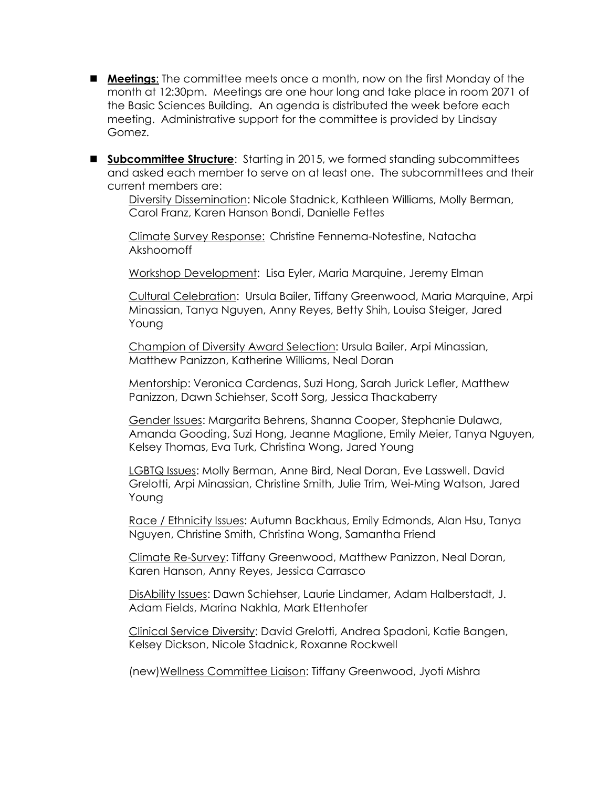- **Meetings**: The committee meets once a month, now on the first Monday of the month at 12:30pm. Meetings are one hour long and take place in room 2071 of the Basic Sciences Building. An agenda is distributed the week before each meeting. Administrative support for the committee is provided by Lindsay Gomez.
- **Subcommittee Structure**: Starting in 2015, we formed standing subcommittees and asked each member to serve on at least one. The subcommittees and their current members are:

Diversity Dissemination: Nicole Stadnick, Kathleen Williams, Molly Berman, Carol Franz, Karen Hanson Bondi, Danielle Fettes

Climate Survey Response: Christine Fennema-Notestine, Natacha Akshoomoff

Workshop Development: Lisa Eyler, Maria Marquine, Jeremy Elman

Cultural Celebration: Ursula Bailer, Tiffany Greenwood, Maria Marquine, Arpi Minassian, Tanya Nguyen, Anny Reyes, Betty Shih, Louisa Steiger, Jared Young

Champion of Diversity Award Selection: Ursula Bailer, Arpi Minassian, Matthew Panizzon, Katherine Williams, Neal Doran

Mentorship: Veronica Cardenas, Suzi Hong, Sarah Jurick Lefler, Matthew Panizzon, Dawn Schiehser, Scott Sorg, Jessica Thackaberry

Gender Issues: Margarita Behrens, Shanna Cooper, Stephanie Dulawa, Amanda Gooding, Suzi Hong, Jeanne Maglione, Emily Meier, Tanya Nguyen, Kelsey Thomas, Eva Turk, Christina Wong, Jared Young

LGBTQ Issues: Molly Berman, Anne Bird, Neal Doran, Eve Lasswell. David Grelotti, Arpi Minassian, Christine Smith, Julie Trim, Wei-Ming Watson, Jared Young

Race / Ethnicity Issues: Autumn Backhaus, Emily Edmonds, Alan Hsu, Tanya Nguyen, Christine Smith, Christina Wong, Samantha Friend

Climate Re-Survey: Tiffany Greenwood, Matthew Panizzon, Neal Doran, Karen Hanson, Anny Reyes, Jessica Carrasco

DisAbility Issues: Dawn Schiehser, Laurie Lindamer, Adam Halberstadt, J. Adam Fields, Marina Nakhla, Mark Ettenhofer

Clinical Service Diversity: David Grelotti, Andrea Spadoni, Katie Bangen, Kelsey Dickson, Nicole Stadnick, Roxanne Rockwell

(new)Wellness Committee Liaison: Tiffany Greenwood, Jyoti Mishra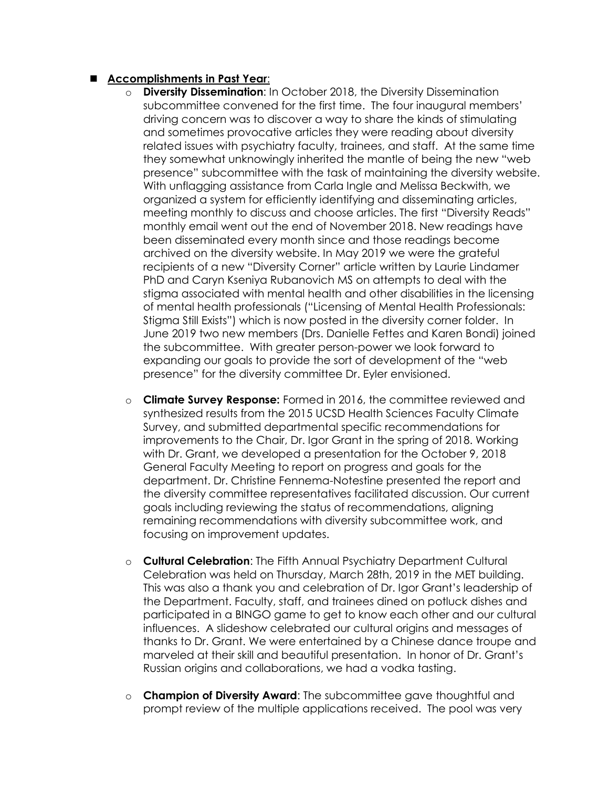## **Accomplishments in Past Year**:

- **Diversity Dissemination:** In October 2018, the Diversity Dissemination subcommittee convened for the first time. The four inaugural members' driving concern was to discover a way to share the kinds of stimulating and sometimes provocative articles they were reading about diversity related issues with psychiatry faculty, trainees, and staff. At the same time they somewhat unknowingly inherited the mantle of being the new "web presence" subcommittee with the task of maintaining the diversity website. With unflagging assistance from Carla Ingle and Melissa Beckwith, we organized a system for efficiently identifying and disseminating articles, meeting monthly to discuss and choose articles. The first "Diversity Reads" monthly email went out the end of November 2018. New readings have been disseminated every month since and those readings become archived on the diversity website. In May 2019 we were the grateful recipients of a new "Diversity Corner" article written by Laurie Lindamer PhD and Caryn Kseniya Rubanovich MS on attempts to deal with the stigma associated with mental health and other disabilities in the licensing of mental health professionals ("Licensing of Mental Health Professionals: Stigma Still Exists") which is now posted in the diversity corner folder. In June 2019 two new members (Drs. Danielle Fettes and Karen Bondi) joined the subcommittee. With greater person-power we look forward to expanding our goals to provide the sort of development of the "web presence" for the diversity committee Dr. Eyler envisioned.
- o **Climate Survey Response:** Formed in 2016, the committee reviewed and synthesized results from the 2015 UCSD Health Sciences Faculty Climate Survey, and submitted departmental specific recommendations for improvements to the Chair, Dr. Igor Grant in the spring of 2018. Working with Dr. Grant, we developed a presentation for the October 9, 2018 General Faculty Meeting to report on progress and goals for the department. Dr. Christine Fennema-Notestine presented the report and the diversity committee representatives facilitated discussion. Our current goals including reviewing the status of recommendations, aligning remaining recommendations with diversity subcommittee work, and focusing on improvement updates.
- o **Cultural Celebration**: The Fifth Annual Psychiatry Department Cultural Celebration was held on Thursday, March 28th, 2019 in the MET building. This was also a thank you and celebration of Dr. Igor Grant's leadership of the Department. Faculty, staff, and trainees dined on potluck dishes and participated in a BINGO game to get to know each other and our cultural influences. A slideshow celebrated our cultural origins and messages of thanks to Dr. Grant. We were entertained by a Chinese dance troupe and marveled at their skill and beautiful presentation. In honor of Dr. Grant's Russian origins and collaborations, we had a vodka tasting.
- o **Champion of Diversity Award**: The subcommittee gave thoughtful and prompt review of the multiple applications received. The pool was very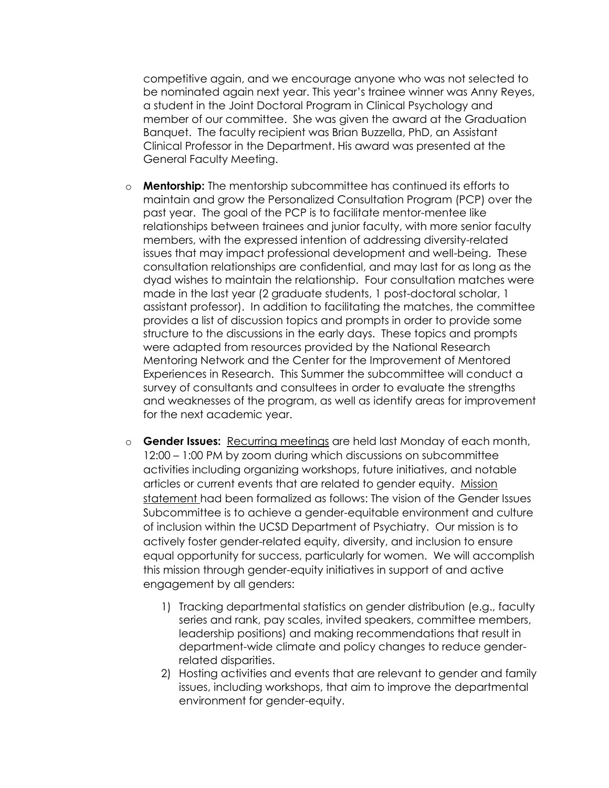competitive again, and we encourage anyone who was not selected to be nominated again next year. This year's trainee winner was Anny Reyes, a student in the Joint Doctoral Program in Clinical Psychology and member of our committee. She was given the award at the Graduation Banquet. The faculty recipient was Brian Buzzella, PhD, an Assistant Clinical Professor in the Department. His award was presented at the General Faculty Meeting.

- o **Mentorship:** The mentorship subcommittee has continued its efforts to maintain and grow the Personalized Consultation Program (PCP) over the past year. The goal of the PCP is to facilitate mentor-mentee like relationships between trainees and junior faculty, with more senior faculty members, with the expressed intention of addressing diversity-related issues that may impact professional development and well-being. These consultation relationships are confidential, and may last for as long as the dyad wishes to maintain the relationship. Four consultation matches were made in the last year (2 graduate students, 1 post-doctoral scholar, 1 assistant professor). In addition to facilitating the matches, the committee provides a list of discussion topics and prompts in order to provide some structure to the discussions in the early days. These topics and prompts were adapted from resources provided by the National Research Mentoring Network and the Center for the Improvement of Mentored Experiences in Research. This Summer the subcommittee will conduct a survey of consultants and consultees in order to evaluate the strengths and weaknesses of the program, as well as identify areas for improvement for the next academic year.
- o **Gender Issues:** Recurring meetings are held last Monday of each month, 12:00 – 1:00 PM by zoom during which discussions on subcommittee activities including organizing workshops, future initiatives, and notable articles or current events that are related to gender equity. Mission statement had been formalized as follows: The vision of the Gender Issues Subcommittee is to achieve a gender-equitable environment and culture of inclusion within the UCSD Department of Psychiatry. Our mission is to actively foster gender-related equity, diversity, and inclusion to ensure equal opportunity for success, particularly for women. We will accomplish this mission through gender-equity initiatives in support of and active engagement by all genders:
	- 1) Tracking departmental statistics on gender distribution (e.g., faculty series and rank, pay scales, invited speakers, committee members, leadership positions) and making recommendations that result in department-wide climate and policy changes to reduce genderrelated disparities.
	- 2) Hosting activities and events that are relevant to gender and family issues, including workshops, that aim to improve the departmental environment for gender-equity.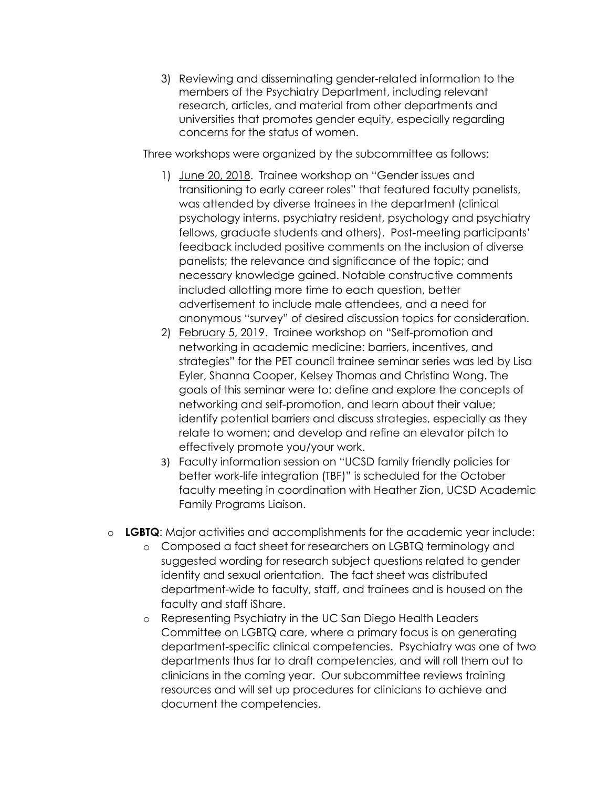3) Reviewing and disseminating gender-related information to the members of the Psychiatry Department, including relevant research, articles, and material from other departments and universities that promotes gender equity, especially regarding concerns for the status of women.

Three workshops were organized by the subcommittee as follows:

- 1) June 20, 2018. Trainee workshop on "Gender issues and transitioning to early career roles" that featured faculty panelists, was attended by diverse trainees in the department (clinical psychology interns, psychiatry resident, psychology and psychiatry fellows, graduate students and others). Post-meeting participants' feedback included positive comments on the inclusion of diverse panelists; the relevance and significance of the topic; and necessary knowledge gained. Notable constructive comments included allotting more time to each question, better advertisement to include male attendees, and a need for anonymous "survey" of desired discussion topics for consideration.
- 2) February 5, 2019. Trainee workshop on "Self-promotion and networking in academic medicine: barriers, incentives, and strategies" for the PET council trainee seminar series was led by Lisa Eyler, Shanna Cooper, Kelsey Thomas and Christina Wong. The goals of this seminar were to: define and explore the concepts of networking and self-promotion, and learn about their value; identify potential barriers and discuss strategies, especially as they relate to women; and develop and refine an elevator pitch to effectively promote you/your work.
- 3) Faculty information session on "UCSD family friendly policies for better work-life integration (TBF)" is scheduled for the October faculty meeting in coordination with Heather Zion, UCSD Academic Family Programs Liaison.
- o **LGBTQ**: Major activities and accomplishments for the academic year include:
	- o Composed a fact sheet for researchers on LGBTQ terminology and suggested wording for research subject questions related to gender identity and sexual orientation. The fact sheet was distributed department-wide to faculty, staff, and trainees and is housed on the faculty and staff iShare.
	- o Representing Psychiatry in the UC San Diego Health Leaders Committee on LGBTQ care, where a primary focus is on generating department-specific clinical competencies. Psychiatry was one of two departments thus far to draft competencies, and will roll them out to clinicians in the coming year. Our subcommittee reviews training resources and will set up procedures for clinicians to achieve and document the competencies.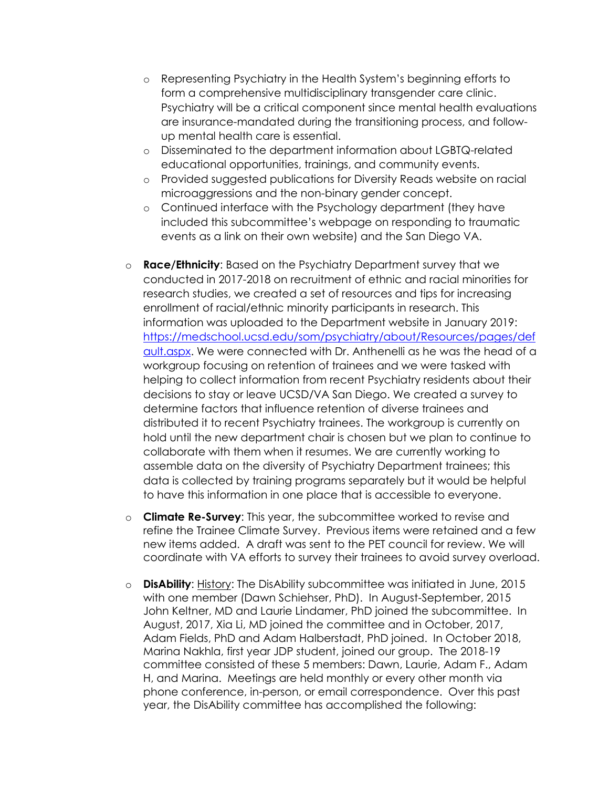- o Representing Psychiatry in the Health System's beginning efforts to form a comprehensive multidisciplinary transgender care clinic. Psychiatry will be a critical component since mental health evaluations are insurance-mandated during the transitioning process, and followup mental health care is essential.
- o Disseminated to the department information about LGBTQ-related educational opportunities, trainings, and community events.
- o Provided suggested publications for Diversity Reads website on racial microaggressions and the non-binary gender concept.
- o Continued interface with the Psychology department (they have included this subcommittee's webpage on responding to traumatic events as a link on their own website) and the San Diego VA.
- o **Race/Ethnicity**: Based on the Psychiatry Department survey that we conducted in 2017-2018 on recruitment of ethnic and racial minorities for research studies, we created a set of resources and tips for increasing enrollment of racial/ethnic minority participants in research. This information was uploaded to the Department website in January 2019: [https://medschool.ucsd.edu/som/psychiatry/about/Resources/pages/def](https://medschool.ucsd.edu/som/psychiatry/about/Resources/pages/default.aspx) [ault.aspx.](https://medschool.ucsd.edu/som/psychiatry/about/Resources/pages/default.aspx) We were connected with Dr. Anthenelli as he was the head of a workgroup focusing on retention of trainees and we were tasked with helping to collect information from recent Psychiatry residents about their decisions to stay or leave UCSD/VA San Diego. We created a survey to determine factors that influence retention of diverse trainees and distributed it to recent Psychiatry trainees. The workgroup is currently on hold until the new department chair is chosen but we plan to continue to collaborate with them when it resumes. We are currently working to assemble data on the diversity of Psychiatry Department trainees; this data is collected by training programs separately but it would be helpful to have this information in one place that is accessible to everyone.
- o **Climate Re-Survey**: This year, the subcommittee worked to revise and refine the Trainee Climate Survey. Previous items were retained and a few new items added. A draft was sent to the PET council for review. We will coordinate with VA efforts to survey their trainees to avoid survey overload.
- o **DisAbility**: History: The DisAbility subcommittee was initiated in June, 2015 with one member (Dawn Schiehser, PhD). In August-September, 2015 John Keltner, MD and Laurie Lindamer, PhD joined the subcommittee. In August, 2017, Xia Li, MD joined the committee and in October, 2017, Adam Fields, PhD and Adam Halberstadt, PhD joined. In October 2018, Marina Nakhla, first year JDP student, joined our group. The 2018-19 committee consisted of these 5 members: Dawn, Laurie, Adam F., Adam H, and Marina. Meetings are held monthly or every other month via phone conference, in-person, or email correspondence. Over this past year, the DisAbility committee has accomplished the following: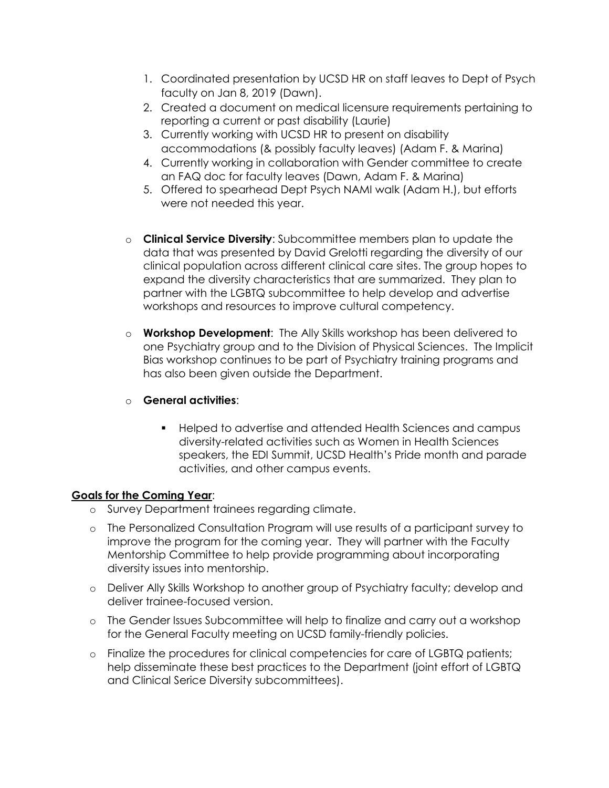- 1. Coordinated presentation by UCSD HR on staff leaves to Dept of Psych faculty on Jan 8, 2019 (Dawn).
- 2. Created a document on medical licensure requirements pertaining to reporting a current or past disability (Laurie)
- 3. Currently working with UCSD HR to present on disability accommodations (& possibly faculty leaves) (Adam F. & Marina)
- 4. Currently working in collaboration with Gender committee to create an FAQ doc for faculty leaves (Dawn, Adam F. & Marina)
- 5. Offered to spearhead Dept Psych NAMI walk (Adam H.), but efforts were not needed this year.
- o **Clinical Service Diversity**: Subcommittee members plan to update the data that was presented by David Grelotti regarding the diversity of our clinical population across different clinical care sites. The group hopes to expand the diversity characteristics that are summarized. They plan to partner with the LGBTQ subcommittee to help develop and advertise workshops and resources to improve cultural competency.
- o **Workshop Development**: The Ally Skills workshop has been delivered to one Psychiatry group and to the Division of Physical Sciences. The Implicit Bias workshop continues to be part of Psychiatry training programs and has also been given outside the Department.
- o **General activities**:
	- Helped to advertise and attended Health Sciences and campus diversity-related activities such as Women in Health Sciences speakers, the EDI Summit, UCSD Health's Pride month and parade activities, and other campus events.

## **Goals for the Coming Year**:

- o Survey Department trainees regarding climate.
- o The Personalized Consultation Program will use results of a participant survey to improve the program for the coming year. They will partner with the Faculty Mentorship Committee to help provide programming about incorporating diversity issues into mentorship.
- o Deliver Ally Skills Workshop to another group of Psychiatry faculty; develop and deliver trainee-focused version.
- o The Gender Issues Subcommittee will help to finalize and carry out a workshop for the General Faculty meeting on UCSD family-friendly policies.
- o Finalize the procedures for clinical competencies for care of LGBTQ patients; help disseminate these best practices to the Department (joint effort of LGBTQ and Clinical Serice Diversity subcommittees).